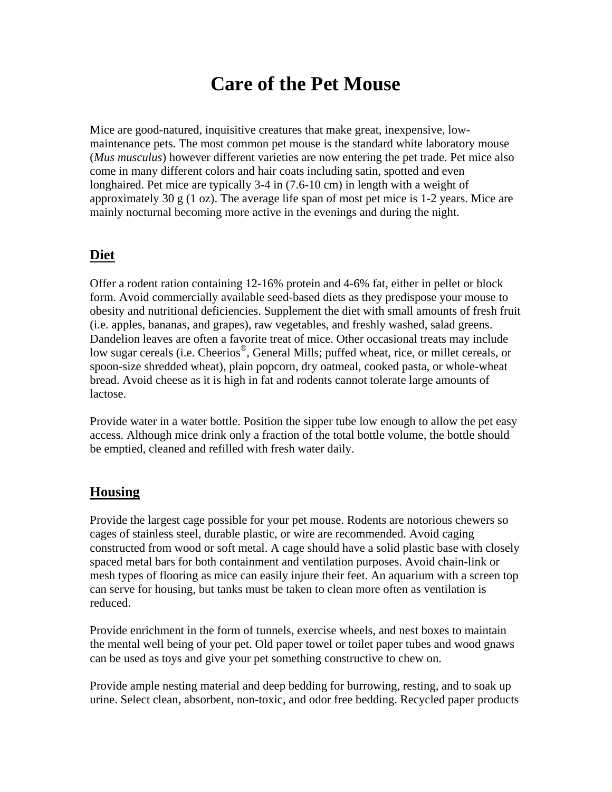## **Care of the Pet Mouse**

Mice are good-natured, inquisitive creatures that make great, inexpensive, lowmaintenance pets. The most common pet mouse is the standard white laboratory mouse (*Mus musculus*) however different varieties are now entering the pet trade. Pet mice also come in many different colors and hair coats including satin, spotted and even longhaired. Pet mice are typically 3-4 in (7.6-10 cm) in length with a weight of approximately 30 g (1 oz). The average life span of most pet mice is  $1-2$  years. Mice are mainly nocturnal becoming more active in the evenings and during the night.

## **Diet**

Offer a rodent ration containing 12-16% protein and 4-6% fat, either in pellet or block form. Avoid commercially available seed-based diets as they predispose your mouse to obesity and nutritional deficiencies. Supplement the diet with small amounts of fresh fruit (i.e. apples, bananas, and grapes), raw vegetables, and freshly washed, salad greens. Dandelion leaves are often a favorite treat of mice. Other occasional treats may include low sugar cereals (i.e. Cheerios<sup>®</sup>, General Mills; puffed wheat, rice, or millet cereals, or spoon-size shredded wheat), plain popcorn, dry oatmeal, cooked pasta, or whole-wheat bread. Avoid cheese as it is high in fat and rodents cannot tolerate large amounts of lactose.

Provide water in a water bottle. Position the sipper tube low enough to allow the pet easy access. Although mice drink only a fraction of the total bottle volume, the bottle should be emptied, cleaned and refilled with fresh water daily.

## **Housing**

Provide the largest cage possible for your pet mouse. Rodents are notorious chewers so cages of stainless steel, durable plastic, or wire are recommended. Avoid caging constructed from wood or soft metal. A cage should have a solid plastic base with closely spaced metal bars for both containment and ventilation purposes. Avoid chain-link or mesh types of flooring as mice can easily injure their feet. An aquarium with a screen top can serve for housing, but tanks must be taken to clean more often as ventilation is reduced.

Provide enrichment in the form of tunnels, exercise wheels, and nest boxes to maintain the mental well being of your pet. Old paper towel or toilet paper tubes and wood gnaws can be used as toys and give your pet something constructive to chew on.

Provide ample nesting material and deep bedding for burrowing, resting, and to soak up urine. Select clean, absorbent, non-toxic, and odor free bedding. Recycled paper products